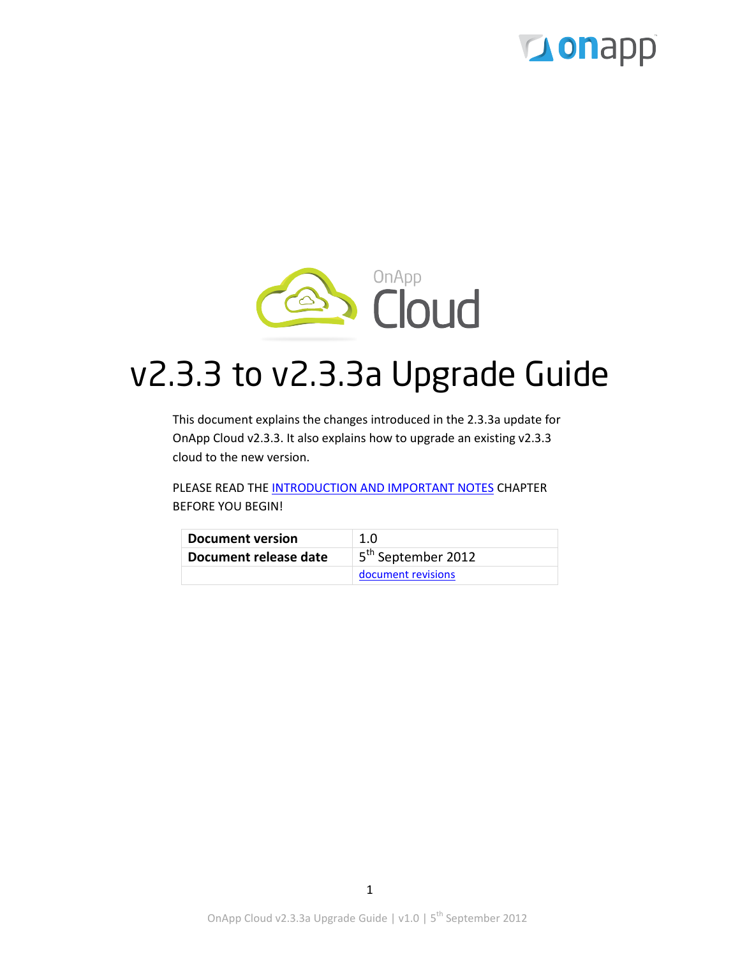



# v2.3.3 to v2.3.3a Upgrade Guide

This document explains the changes introduced in the 2.3.3a update for OnApp Cloud v2.3.3. It also explains how to upgrade an existing v2.3.3 cloud to the new version.

PLEASE READ THE [INTRODUCTION AND IMPORTANT NOTES](#page-2-0) CHAPTER BEFORE YOU BEGIN!

| Document version      | 1.0                            |
|-----------------------|--------------------------------|
| Document release date | 5 <sup>th</sup> September 2012 |
|                       | document revisions             |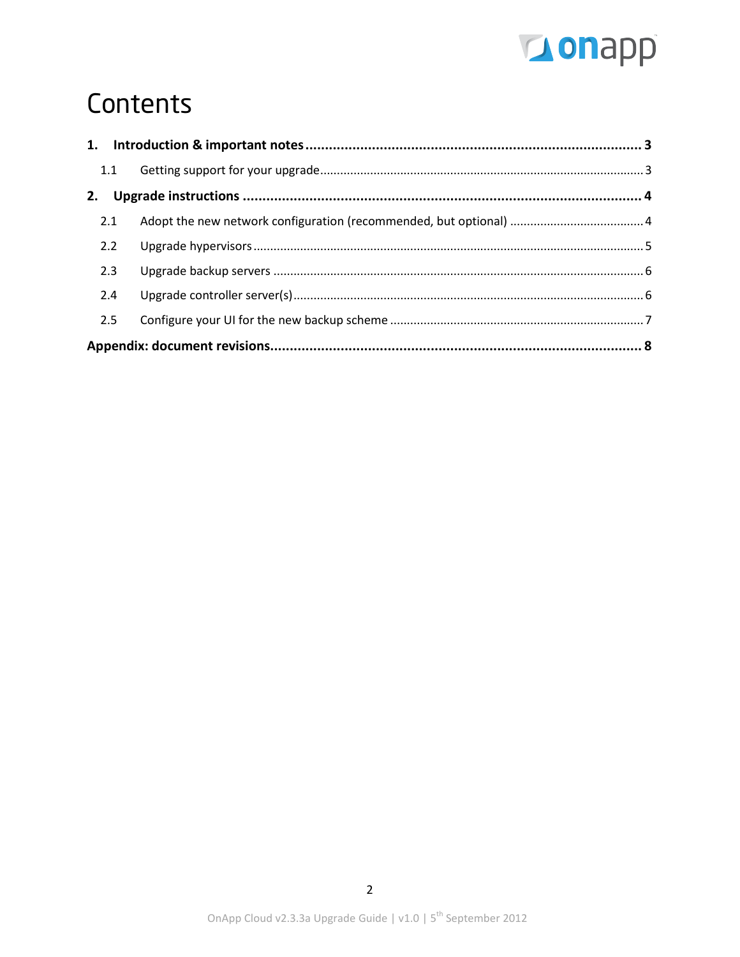

# Contents

| 1.1 |  |  |
|-----|--|--|
|     |  |  |
| 2.1 |  |  |
| 2.2 |  |  |
| 2.3 |  |  |
| 2.4 |  |  |
| 2.5 |  |  |
|     |  |  |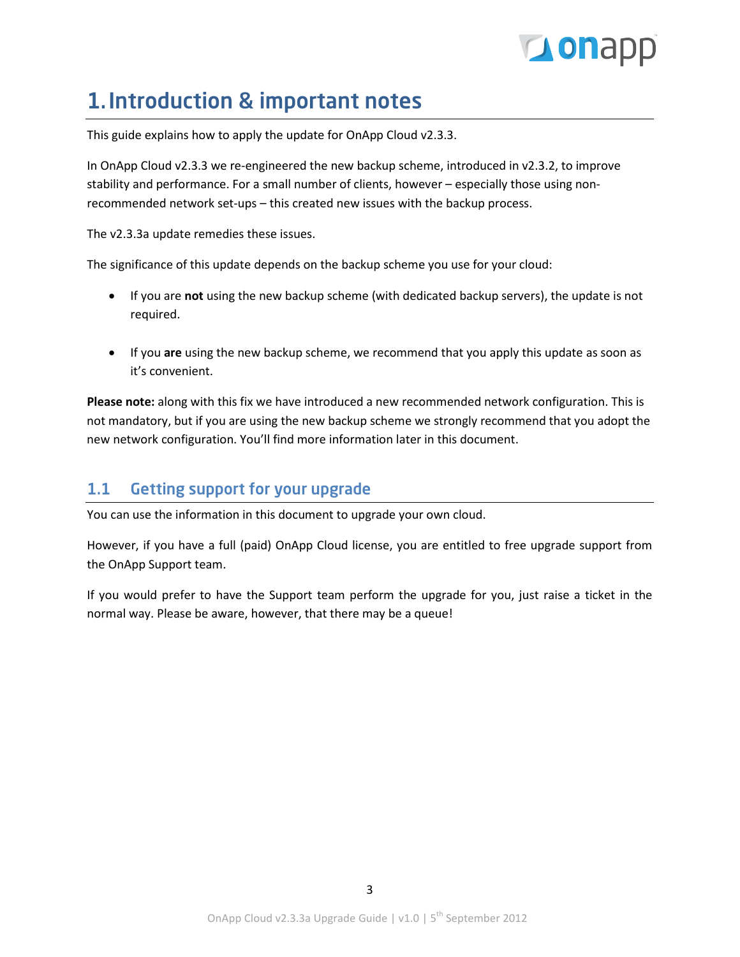# **Tous** D

## <span id="page-2-0"></span>1.Introduction & important notes

This guide explains how to apply the update for OnApp Cloud v2.3.3.

In OnApp Cloud v2.3.3 we re-engineered the new backup scheme, introduced in v2.3.2, to improve stability and performance. For a small number of clients, however – especially those using nonrecommended network set-ups – this created new issues with the backup process.

The v2.3.3a update remedies these issues.

The significance of this update depends on the backup scheme you use for your cloud:

- If you are **not** using the new backup scheme (with dedicated backup servers), the update is not required.
- If you **are** using the new backup scheme, we recommend that you apply this update as soon as it's convenient.

**Please note:** along with this fix we have introduced a new recommended network configuration. This is not mandatory, but if you are using the new backup scheme we strongly recommend that you adopt the new network configuration. You'll find more information later in this document.

## <span id="page-2-1"></span>1.1 Getting support for your upgrade

You can use the information in this document to upgrade your own cloud.

However, if you have a full (paid) OnApp Cloud license, you are entitled to free upgrade support from the OnApp Support team.

If you would prefer to have the Support team perform the upgrade for you, just raise a ticket in the normal way. Please be aware, however, that there may be a queue!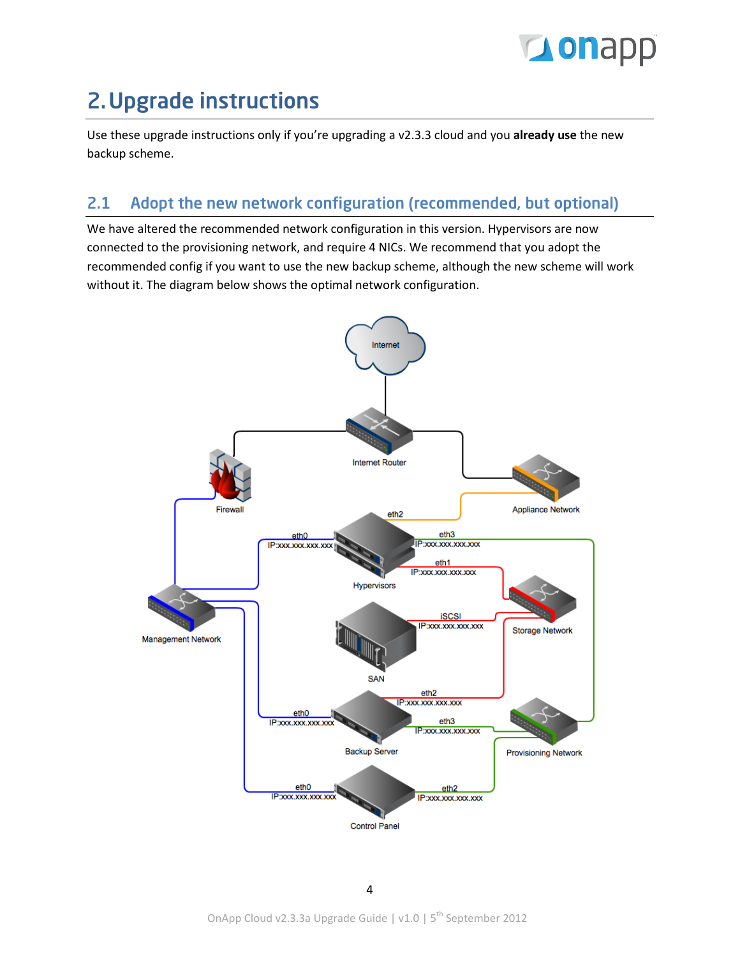# **Lonapp**

# <span id="page-3-0"></span>2.Upgrade instructions

Use these upgrade instructions only if you're upgrading a v2.3.3 cloud and you **already use** the new backup scheme.

## <span id="page-3-1"></span>2.1 Adopt the new network configuration (recommended, but optional)

We have altered the recommended network configuration in this version. Hypervisors are now connected to the provisioning network, and require 4 NICs. We recommend that you adopt the recommended config if you want to use the new backup scheme, although the new scheme will work without it. The diagram below shows the optimal network configuration.

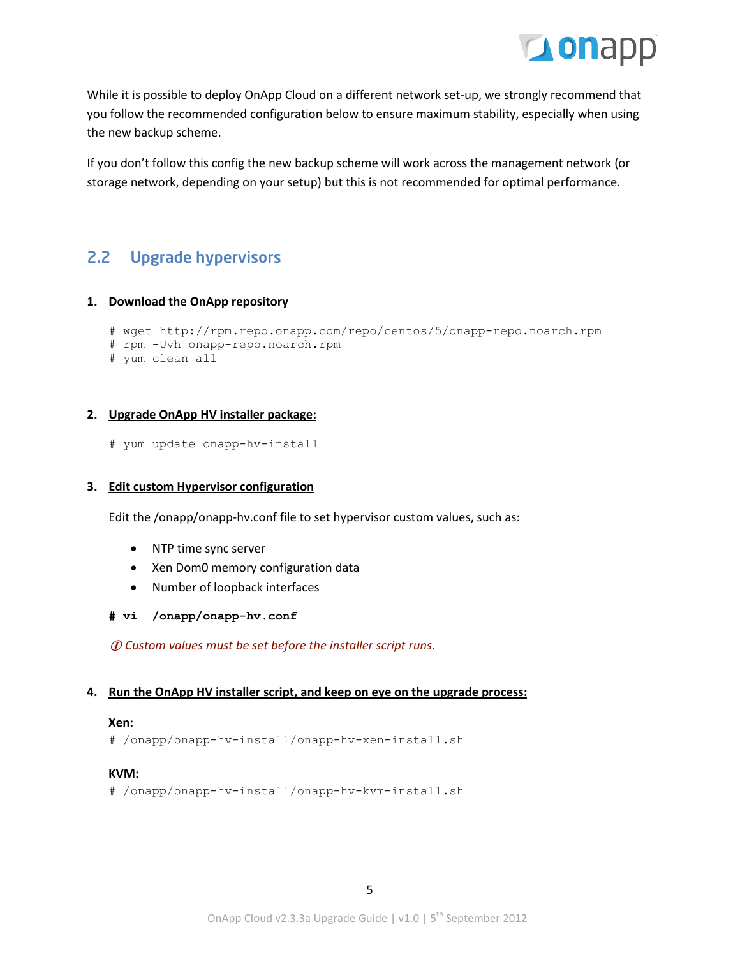

While it is possible to deploy OnApp Cloud on a different network set-up, we strongly recommend that you follow the recommended configuration below to ensure maximum stability, especially when using the new backup scheme.

If you don't follow this config the new backup scheme will work across the management network (or storage network, depending on your setup) but this is not recommended for optimal performance.

### <span id="page-4-0"></span>2.2 Upgrade hypervisors

### **1. Download the OnApp repository**

```
# wget http://rpm.repo.onapp.com/repo/centos/5/onapp-repo.noarch.rpm
# rpm -Uvh onapp-repo.noarch.rpm
```
# yum clean all

### **2. Upgrade OnApp HV installer package:**

# yum update onapp-hv-install

### **3. Edit custom Hypervisor configuration**

Edit the /onapp/onapp-hv.conf file to set hypervisor custom values, such as:

- NTP time sync server
- Xen Dom0 memory configuration data
- Number of loopback interfaces
- **# vi /onapp/onapp-hv.conf**

*Custom values must be set before the installer script runs.*

### **4. Run the OnApp HV installer script, and keep on eye on the upgrade process:**

#### **Xen:**

# /onapp/onapp-hv-install/onapp-hv-xen-install.sh

### **KVM:**

# /onapp/onapp-hv-install/onapp-hv-kvm-install.sh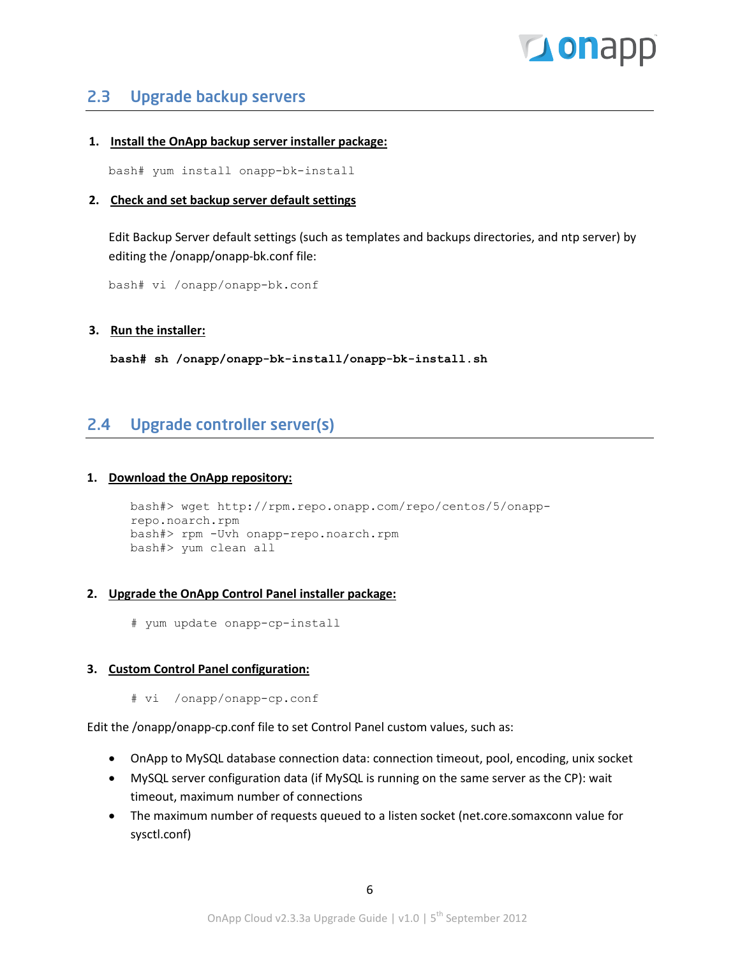# **Tou**ghb

### <span id="page-5-0"></span>2.3 Upgrade backup servers

### **1. Install the OnApp backup server installer package:**

bash# yum install onapp-bk-install

### **2. Check and set backup server default settings**

Edit Backup Server default settings (such as templates and backups directories, and ntp server) by editing the /onapp/onapp-bk.conf file:

bash# vi /onapp/onapp-bk.conf

### **3. Run the installer:**

**bash# sh /onapp/onapp-bk-install/onapp-bk-install.sh**

### <span id="page-5-1"></span>2.4 Upgrade controller server(s)

### **1. Download the OnApp repository:**

```
bash#> wget http://rpm.repo.onapp.com/repo/centos/5/onapp-
repo.noarch.rpm
bash#> rpm -Uvh onapp-repo.noarch.rpm
bash#> yum clean all
```
### **2. Upgrade the OnApp Control Panel installer package:**

# yum update onapp-cp-install

### **3. Custom Control Panel configuration:**

# vi /onapp/onapp-cp.conf

Edit the /onapp/onapp-cp.conf file to set Control Panel custom values, such as:

- OnApp to MySQL database connection data: connection timeout, pool, encoding, unix socket
- MySQL server configuration data (if MySQL is running on the same server as the CP): wait timeout, maximum number of connections
- The maximum number of requests queued to a listen socket (net.core.somaxconn value for sysctl.conf)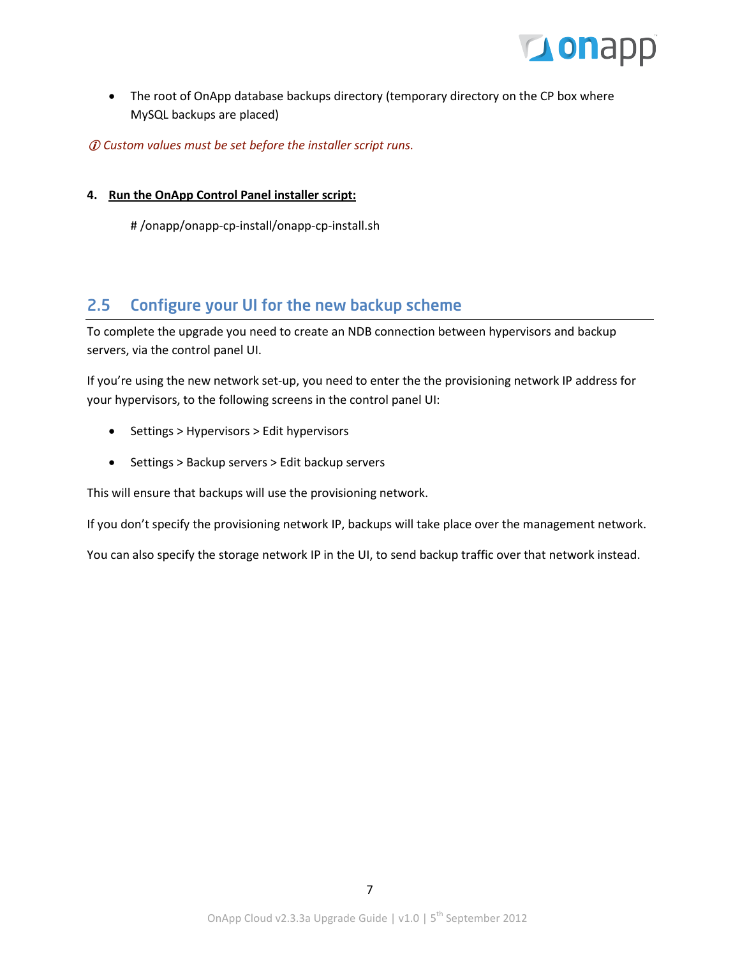

• The root of OnApp database backups directory (temporary directory on the CP box where MySQL backups are placed)

*Custom values must be set before the installer script runs.*

### **4. Run the OnApp Control Panel installer script:**

# /onapp/onapp-cp-install/onapp-cp-install.sh

### <span id="page-6-0"></span>2.5 Configure your UI for the new backup scheme

To complete the upgrade you need to create an NDB connection between hypervisors and backup servers, via the control panel UI.

If you're using the new network set-up, you need to enter the the provisioning network IP address for your hypervisors, to the following screens in the control panel UI:

- Settings > Hypervisors > Edit hypervisors
- Settings > Backup servers > Edit backup servers

This will ensure that backups will use the provisioning network.

If you don't specify the provisioning network IP, backups will take place over the management network.

You can also specify the storage network IP in the UI, to send backup traffic over that network instead.